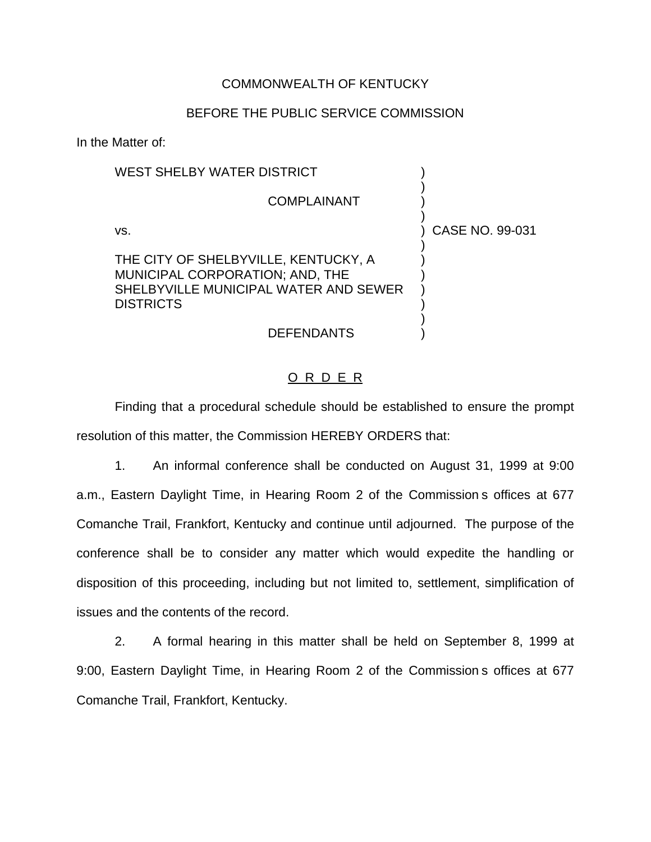## COMMONWEALTH OF KENTUCKY

## BEFORE THE PUBLIC SERVICE COMMISSION

In the Matter of:

| WEST SHELBY WATER DISTRICT                                                                                                           |                 |
|--------------------------------------------------------------------------------------------------------------------------------------|-----------------|
| <b>COMPLAINANT</b>                                                                                                                   |                 |
| VS.                                                                                                                                  | CASE NO. 99-031 |
| THE CITY OF SHELBYVILLE, KENTUCKY, A<br>MUNICIPAL CORPORATION; AND, THE<br>SHELBYVILLE MUNICIPAL WATER AND SEWER<br><b>DISTRICTS</b> |                 |
| DEFENDANTS                                                                                                                           |                 |

## O R D E R

Finding that a procedural schedule should be established to ensure the prompt resolution of this matter, the Commission HEREBY ORDERS that:

1. An informal conference shall be conducted on August 31, 1999 at 9:00 a.m., Eastern Daylight Time, in Hearing Room 2 of the Commission s offices at 677 Comanche Trail, Frankfort, Kentucky and continue until adjourned. The purpose of the conference shall be to consider any matter which would expedite the handling or disposition of this proceeding, including but not limited to, settlement, simplification of issues and the contents of the record.

2. A formal hearing in this matter shall be held on September 8, 1999 at 9:00, Eastern Daylight Time, in Hearing Room 2 of the Commission s offices at 677 Comanche Trail, Frankfort, Kentucky.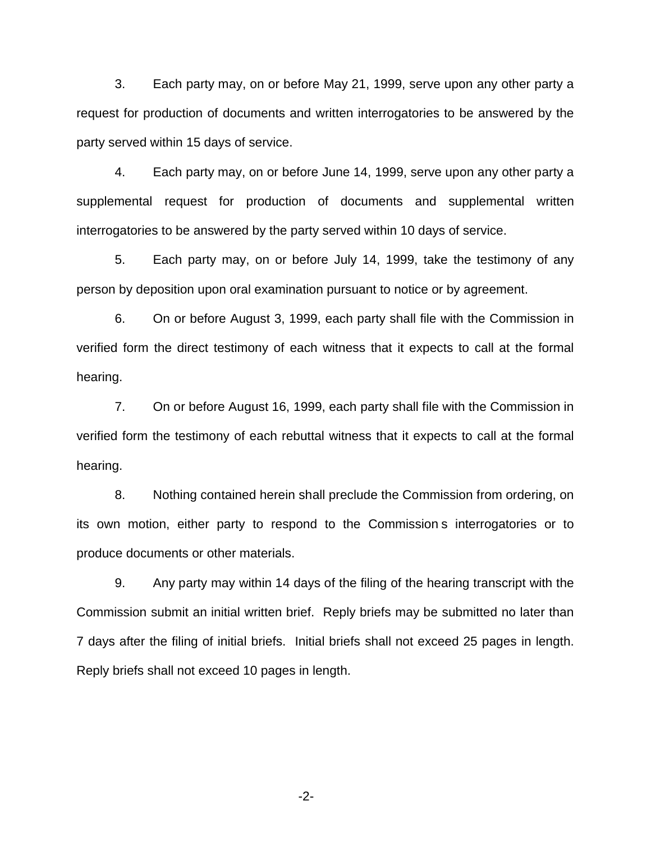3. Each party may, on or before May 21, 1999, serve upon any other party a request for production of documents and written interrogatories to be answered by the party served within 15 days of service.

4. Each party may, on or before June 14, 1999, serve upon any other party a supplemental request for production of documents and supplemental written interrogatories to be answered by the party served within 10 days of service.

5. Each party may, on or before July 14, 1999, take the testimony of any person by deposition upon oral examination pursuant to notice or by agreement.

6. On or before August 3, 1999, each party shall file with the Commission in verified form the direct testimony of each witness that it expects to call at the formal hearing.

7. On or before August 16, 1999, each party shall file with the Commission in verified form the testimony of each rebuttal witness that it expects to call at the formal hearing.

8. Nothing contained herein shall preclude the Commission from ordering, on its own motion, either party to respond to the Commission s interrogatories or to produce documents or other materials.

9. Any party may within 14 days of the filing of the hearing transcript with the Commission submit an initial written brief. Reply briefs may be submitted no later than 7 days after the filing of initial briefs. Initial briefs shall not exceed 25 pages in length. Reply briefs shall not exceed 10 pages in length.

-2-